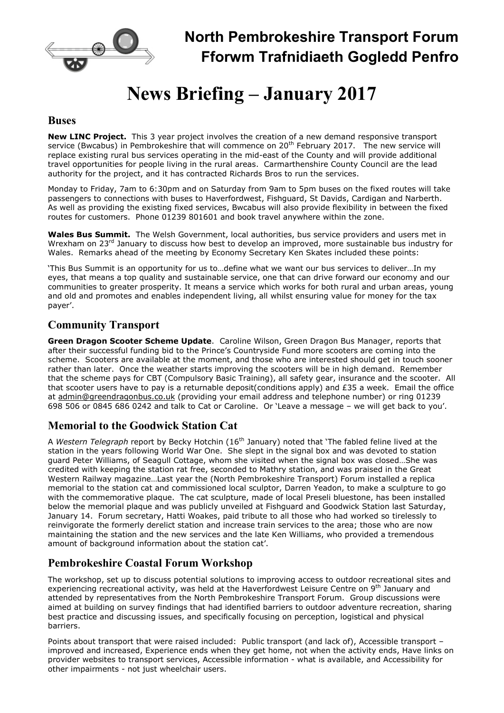

# News Briefing – January 2017

#### **Buses**

New LINC Project. This 3 year project involves the creation of a new demand responsive transport service (Bwcabus) in Pembrokeshire that will commence on 20<sup>th</sup> February 2017. The new service will replace existing rural bus services operating in the mid-east of the County and will provide additional travel opportunities for people living in the rural areas. Carmarthenshire County Council are the lead authority for the project, and it has contracted Richards Bros to run the services.

Monday to Friday, 7am to 6:30pm and on Saturday from 9am to 5pm buses on the fixed routes will take passengers to connections with buses to Haverfordwest, Fishguard, St Davids, Cardigan and Narberth. As well as providing the existing fixed services, Bwcabus will also provide flexibility in between the fixed routes for customers. Phone 01239 801601 and book travel anywhere within the zone.

Wales Bus Summit. The Welsh Government, local authorities, bus service providers and users met in Wrexham on 23<sup>rd</sup> January to discuss how best to develop an improved, more sustainable bus industry for Wales. Remarks ahead of the meeting by Economy Secretary Ken Skates included these points:

'This Bus Summit is an opportunity for us to…define what we want our bus services to deliver…In my eyes, that means a top quality and sustainable service, one that can drive forward our economy and our communities to greater prosperity. It means a service which works for both rural and urban areas, young and old and promotes and enables independent living, all whilst ensuring value for money for the tax payer'.

## Community Transport

Green Dragon Scooter Scheme Update. Caroline Wilson, Green Dragon Bus Manager, reports that after their successful funding bid to the Prince's Countryside Fund more scooters are coming into the scheme. Scooters are available at the moment, and those who are interested should get in touch sooner rather than later. Once the weather starts improving the scooters will be in high demand. Remember that the scheme pays for CBT (Compulsory Basic Training), all safety gear, insurance and the scooter. All that scooter users have to pay is a returnable deposit(conditions apply) and £35 a week. Email the office at admin@greendragonbus.co.uk (providing your email address and telephone number) or ring 01239 698 506 or 0845 686 0242 and talk to Cat or Caroline. Or 'Leave a message – we will get back to you'.

## Memorial to the Goodwick Station Cat

A Western Telegraph report by Becky Hotchin (16<sup>th</sup> January) noted that 'The fabled feline lived at the station in the years following World War One. She slept in the signal box and was devoted to station guard Peter Williams, of Seagull Cottage, whom she visited when the signal box was closed…She was credited with keeping the station rat free, seconded to Mathry station, and was praised in the Great Western Railway magazine…Last year the (North Pembrokeshire Transport) Forum installed a replica memorial to the station cat and commissioned local sculptor, Darren Yeadon, to make a sculpture to go with the commemorative plaque. The cat sculpture, made of local Preseli bluestone, has been installed below the memorial plaque and was publicly unveiled at Fishguard and Goodwick Station last Saturday, January 14. Forum secretary, Hatti Woakes, paid tribute to all those who had worked so tirelessly to reinvigorate the formerly derelict station and increase train services to the area; those who are now maintaining the station and the new services and the late Ken Williams, who provided a tremendous amount of background information about the station cat'.

## Pembrokeshire Coastal Forum Workshop

The workshop, set up to discuss potential solutions to improving access to outdoor recreational sites and experiencing recreational activity, was held at the Haverfordwest Leisure Centre on 9<sup>th</sup> January and attended by representatives from the North Pembrokeshire Transport Forum. Group discussions were aimed at building on survey findings that had identified barriers to outdoor adventure recreation, sharing best practice and discussing issues, and specifically focusing on perception, logistical and physical barriers.

Points about transport that were raised included: Public transport (and lack of), Accessible transport – improved and increased, Experience ends when they get home, not when the activity ends, Have links on provider websites to transport services, Accessible information - what is available, and Accessibility for other impairments - not just wheelchair users.